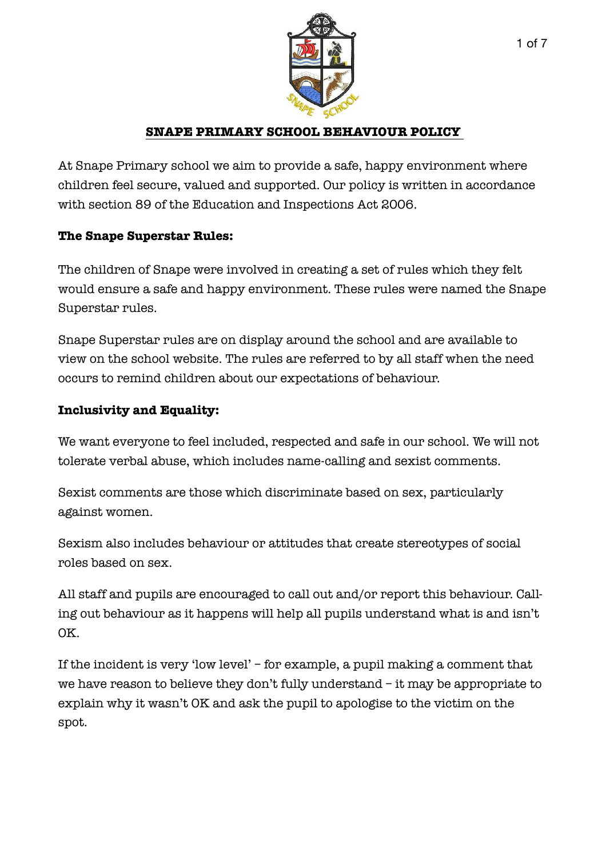

### **SNAPE PRIMARY SCHOOL BEHAVIOUR POLICY**

At Snape Primary school we aim to provide a safe, happy environment where children feel secure, valued and supported. Our policy is written in accordance with section 89 of the Education and Inspections Act 2006.

#### **The Snape Superstar Rules:**

The children of Snape were involved in creating a set of rules which they felt would ensure a safe and happy environment. These rules were named the Snape Superstar rules.

Snape Superstar rules are on display around the school and are available to view on the school website. The rules are referred to by all staff when the need occurs to remind children about our expectations of behaviour.

### **Inclusivity and Equality:**

We want everyone to feel included, respected and safe in our school. We will not tolerate verbal abuse, which includes name-calling and sexist comments.

Sexist comments are those which discriminate based on sex, particularly against women.

Sexism also includes behaviour or attitudes that create stereotypes of social roles based on sex.

All staff and pupils are encouraged to call out and/or report this behaviour. Calling out behaviour as it happens will help all pupils understand what is and isn't OK.

If the incident is very 'low level' – for example, a pupil making a comment that we have reason to believe they don't fully understand – it may be appropriate to explain why it wasn't OK and ask the pupil to apologise to the victim on the spot.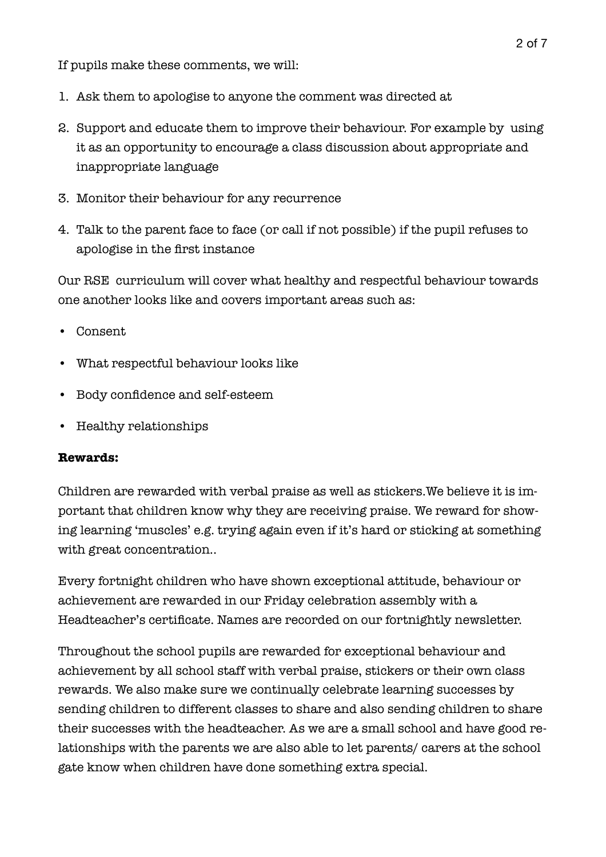If pupils make these comments, we will:

- 1. Ask them to apologise to anyone the comment was directed at
- 2. Support and educate them to improve their behaviour. For example by using it as an opportunity to encourage a class discussion about appropriate and inappropriate language
- 3. Monitor their behaviour for any recurrence
- 4. Talk to the parent face to face (or call if not possible) if the pupil refuses to apologise in the first instance

Our RSE curriculum will cover what healthy and respectful behaviour towards one another looks like and covers important areas such as:

- Consent
- What respectful behaviour looks like
- Body confidence and self-esteem
- Healthy relationships

#### **Rewards:**

Children are rewarded with verbal praise as well as stickers.We believe it is important that children know why they are receiving praise. We reward for showing learning 'muscles' e.g. trying again even if it's hard or sticking at something with great concentration..

Every fortnight children who have shown exceptional attitude, behaviour or achievement are rewarded in our Friday celebration assembly with a Headteacher's certificate. Names are recorded on our fortnightly newsletter.

Throughout the school pupils are rewarded for exceptional behaviour and achievement by all school staff with verbal praise, stickers or their own class rewards. We also make sure we continually celebrate learning successes by sending children to different classes to share and also sending children to share their successes with the headteacher. As we are a small school and have good relationships with the parents we are also able to let parents/ carers at the school gate know when children have done something extra special.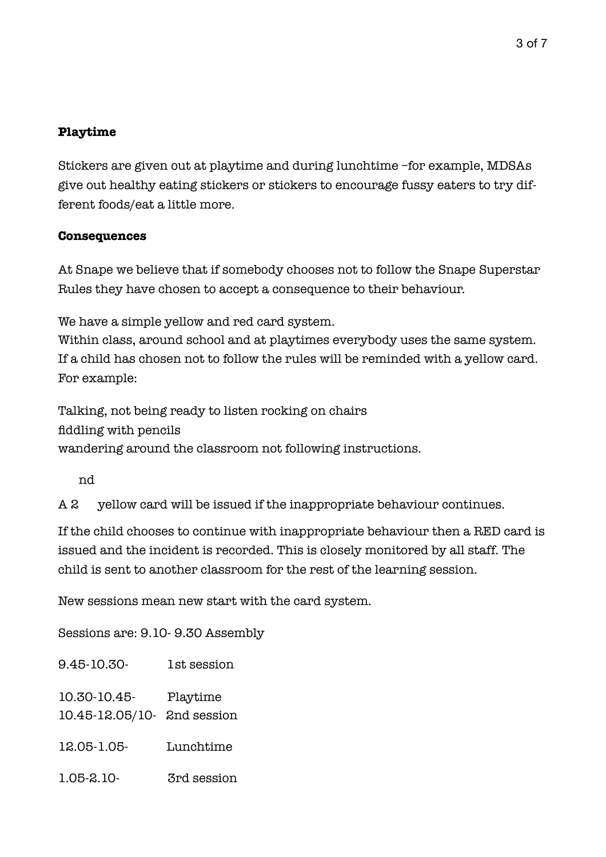### **Playtime**

Stickers are given out at playtime and during lunchtime –for example, MDSAs give out healthy eating stickers or stickers to encourage fussy eaters to try different foods/eat a little more.

#### **Consequences**

At Snape we believe that if somebody chooses not to follow the Snape Superstar Rules they have chosen to accept a consequence to their behaviour.

We have a simple yellow and red card system.

Within class, around school and at playtimes everybody uses the same system. If a child has chosen not to follow the rules will be reminded with a yellow card. For example:

Talking, not being ready to listen rocking on chairs fiddling with pencils wandering around the classroom not following instructions.

nd

 $A2$ yellow card will be issued if the inappropriate behaviour continues.

If the child chooses to continue with inappropriate behaviour then a RED card is issued and the incident is recorded. This is closely monitored by all staff. The child is sent to another classroom for the rest of the learning session.

New sessions mean new start with the card system.

Sessions are: 9.10- 9.30 Assembly

9.45-10.30- 1st session

10.30-10.45- Playtime

10.45-12.05/10- 2nd session

- 12.05-1.05- Lunchtime
- 1.05-2.10- 3rd session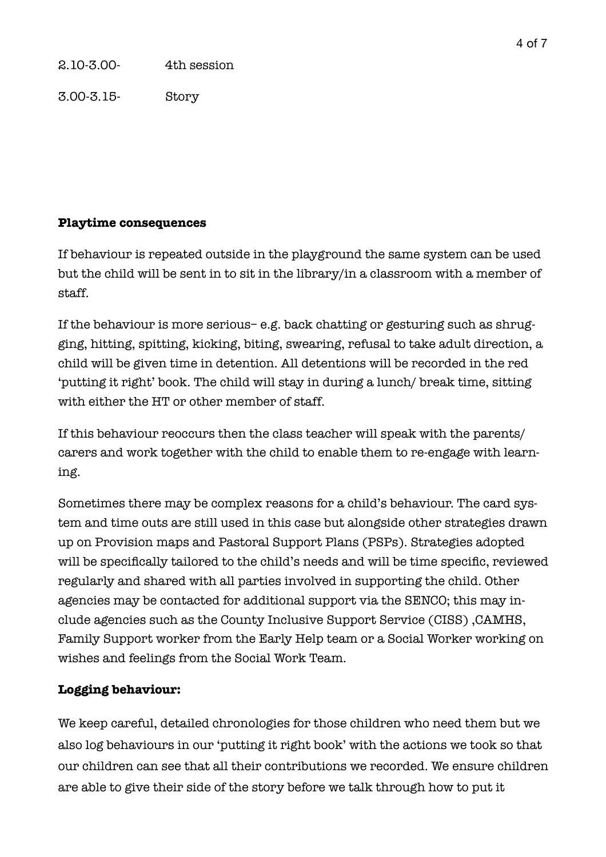3.00-3.15- Story

### **Playtime consequences**

If behaviour is repeated outside in the playground the same system can be used but the child will be sent in to sit in the library/in a classroom with a member of staff.

If the behaviour is more serious– e.g. back chatting or gesturing such as shrugging, hitting, spitting, kicking, biting, swearing, refusal to take adult direction, a child will be given time in detention. All detentions will be recorded in the red 'putting it right' book. The child will stay in during a lunch/ break time, sitting with either the HT or other member of staff.

If this behaviour reoccurs then the class teacher will speak with the parents/ carers and work together with the child to enable them to re-engage with learning.

Sometimes there may be complex reasons for a child's behaviour. The card system and time outs are still used in this case but alongside other strategies drawn up on Provision maps and Pastoral Support Plans (PSPs). Strategies adopted will be specifically tailored to the child's needs and will be time specific, reviewed regularly and shared with all parties involved in supporting the child. Other agencies may be contacted for additional support via the SENCO; this may include agencies such as the County Inclusive Support Service (CISS) ,CAMHS, Family Support worker from the Early Help team or a Social Worker working on wishes and feelings from the Social Work Team.

# **Logging behaviour:**

We keep careful, detailed chronologies for those children who need them but we also log behaviours in our 'putting it right book' with the actions we took so that our children can see that all their contributions we recorded. We ensure children are able to give their side of the story before we talk through how to put it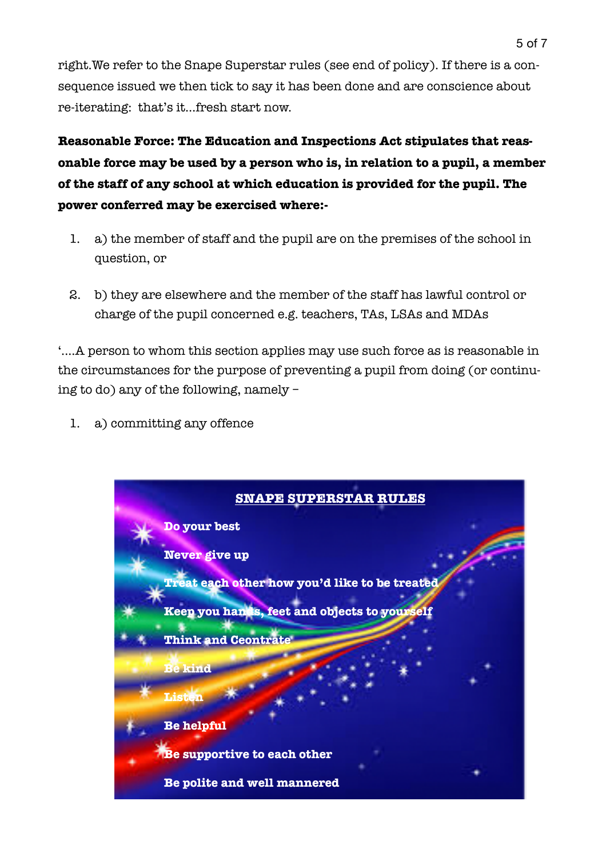right.We refer to the Snape Superstar rules (see end of policy). If there is a consequence issued we then tick to say it has been done and are conscience about re-iterating: that's it…fresh start now.

**Reasonable Force: The Education and Inspections Act stipulates that reasonable force may be used by a person who is, in relation to a pupil, a member of the staff of any school at which education is provided for the pupil. The power conferred may be exercised where:-** 

- 1. a) the member of staff and the pupil are on the premises of the school in question, or
- 2. b) they are elsewhere and the member of the staff has lawful control or charge of the pupil concerned e.g. teachers, TAs, LSAs and MDAs

'....A person to whom this section applies may use such force as is reasonable in the circumstances for the purpose of preventing a pupil from doing (or continuing to do) any of the following, namely –

1. a) committing any offence

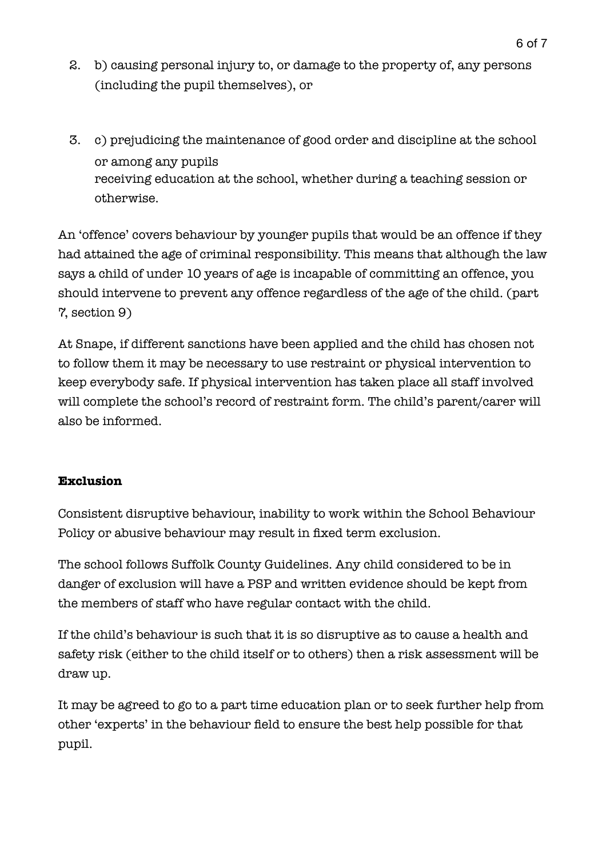- 2. b) causing personal injury to, or damage to the property of, any persons (including the pupil themselves), or
- 3. c) prejudicing the maintenance of good order and discipline at the school or among any pupils receiving education at the school, whether during a teaching session or otherwise.

An 'offence' covers behaviour by younger pupils that would be an offence if they had attained the age of criminal responsibility. This means that although the law says a child of under 10 years of age is incapable of committing an offence, you should intervene to prevent any offence regardless of the age of the child. (part 7, section 9)

At Snape, if different sanctions have been applied and the child has chosen not to follow them it may be necessary to use restraint or physical intervention to keep everybody safe. If physical intervention has taken place all staff involved will complete the school's record of restraint form. The child's parent/carer will also be informed.

## **Exclusion**

Consistent disruptive behaviour, inability to work within the School Behaviour Policy or abusive behaviour may result in fixed term exclusion.

The school follows Suffolk County Guidelines. Any child considered to be in danger of exclusion will have a PSP and written evidence should be kept from the members of staff who have regular contact with the child.

If the child's behaviour is such that it is so disruptive as to cause a health and safety risk (either to the child itself or to others) then a risk assessment will be draw up.

It may be agreed to go to a part time education plan or to seek further help from other 'experts' in the behaviour field to ensure the best help possible for that pupil.